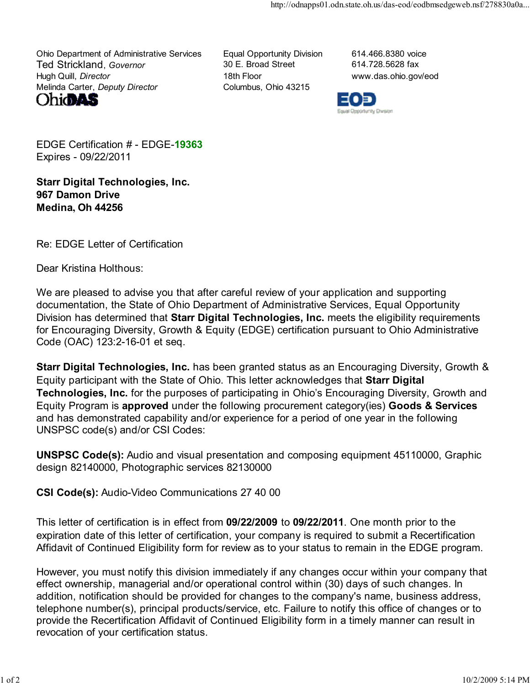Ohio Department of Administrative Services Equal Opportunity Division 614.466.8380 voice Ted Strickland, Governor **30 E. Broad Street** 614.728.5628 fax Hugh Quill, *Director* 18th Floor 18th Floor www.das.ohio.gov/eod Melinda Carter, Deputy Director Columbus, Ohio 43215





EDGE Certification # - EDGE-19363 Expires - 09/22/2011

Starr Digital Technologies, Inc. 967 Damon Drive Medina, Oh 44256

Re: EDGE Letter of Certification

Dear Kristina Holthous:

We are pleased to advise you that after careful review of your application and supporting documentation, the State of Ohio Department of Administrative Services, Equal Opportunity Division has determined that Starr Digital Technologies, Inc. meets the eligibility requirements for Encouraging Diversity, Growth & Equity (EDGE) certification pursuant to Ohio Administrative Code (OAC) 123:2-16-01 et seq.

Starr Digital Technologies, Inc. has been granted status as an Encouraging Diversity, Growth & Equity participant with the State of Ohio. This letter acknowledges that Starr Digital Technologies, Inc. for the purposes of participating in Ohio's Encouraging Diversity, Growth and Equity Program is approved under the following procurement category(ies) Goods & Services and has demonstrated capability and/or experience for a period of one year in the following UNSPSC code(s) and/or CSI Codes:

UNSPSC Code(s): Audio and visual presentation and composing equipment 45110000, Graphic design 82140000, Photographic services 82130000

CSI Code(s): Audio-Video Communications 27 40 00

This letter of certification is in effect from 09/22/2009 to 09/22/2011. One month prior to the expiration date of this letter of certification, your company is required to submit a Recertification Affidavit of Continued Eligibility form for review as to your status to remain in the EDGE program.

However, you must notify this division immediately if any changes occur within your company that effect ownership, managerial and/or operational control within (30) days of such changes. In addition, notification should be provided for changes to the company's name, business address, telephone number(s), principal products/service, etc. Failure to notify this office of changes or to provide the Recertification Affidavit of Continued Eligibility form in a timely manner can result in revocation of your certification status.